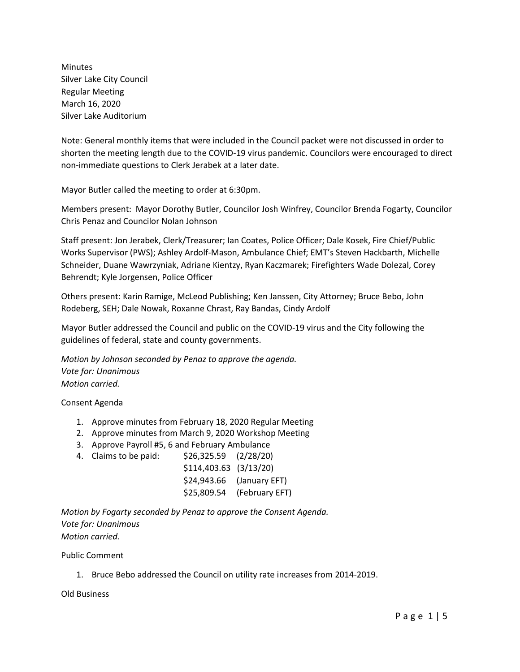Minutes Silver Lake City Council Regular Meeting March 16, 2020 Silver Lake Auditorium

Note: General monthly items that were included in the Council packet were not discussed in order to shorten the meeting length due to the COVID-19 virus pandemic. Councilors were encouraged to direct non-immediate questions to Clerk Jerabek at a later date.

Mayor Butler called the meeting to order at 6:30pm.

Members present: Mayor Dorothy Butler, Councilor Josh Winfrey, Councilor Brenda Fogarty, Councilor Chris Penaz and Councilor Nolan Johnson

Staff present: Jon Jerabek, Clerk/Treasurer; Ian Coates, Police Officer; Dale Kosek, Fire Chief/Public Works Supervisor (PWS); Ashley Ardolf-Mason, Ambulance Chief; EMT's Steven Hackbarth, Michelle Schneider, Duane Wawrzyniak, Adriane Kientzy, Ryan Kaczmarek; Firefighters Wade Dolezal, Corey Behrendt; Kyle Jorgensen, Police Officer

Others present: Karin Ramige, McLeod Publishing; Ken Janssen, City Attorney; Bruce Bebo, John Rodeberg, SEH; Dale Nowak, Roxanne Chrast, Ray Bandas, Cindy Ardolf

Mayor Butler addressed the Council and public on the COVID-19 virus and the City following the guidelines of federal, state and county governments.

*Motion by Johnson seconded by Penaz to approve the agenda. Vote for: Unanimous Motion carried.*

Consent Agenda

- 1. Approve minutes from February 18, 2020 Regular Meeting
- 2. Approve minutes from March 9, 2020 Workshop Meeting
- 3. Approve Payroll #5, 6 and February Ambulance
- 4. Claims to be paid: \$26,325.59 (2/28/20)

| $$114,403.63$ $(3/13/20)$ |                |
|---------------------------|----------------|
| \$24,943.66               | (January EFT)  |
| \$25,809.54               | (February EFT) |

*Motion by Fogarty seconded by Penaz to approve the Consent Agenda. Vote for: Unanimous Motion carried.*

Public Comment

1. Bruce Bebo addressed the Council on utility rate increases from 2014-2019.

Old Business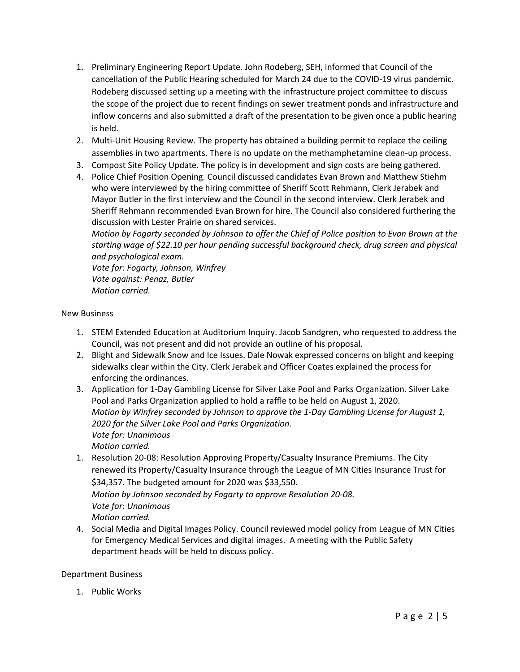- 1. Preliminary Engineering Report Update. John Rodeberg, SEH, informed that Council of the cancellation of the Public Hearing scheduled for March 24 due to the COVID-19 virus pandemic. Rodeberg discussed setting up a meeting with the infrastructure project committee to discuss the scope of the project due to recent findings on sewer treatment ponds and infrastructure and inflow concerns and also submitted a draft of the presentation to be given once a public hearing is held.
- 2. Multi-Unit Housing Review. The property has obtained a building permit to replace the ceiling assemblies in two apartments. There is no update on the methamphetamine clean-up process.
- 3. Compost Site Policy Update. The policy is in development and sign costs are being gathered.
- 4. Police Chief Position Opening. Council discussed candidates Evan Brown and Matthew Stiehm who were interviewed by the hiring committee of Sheriff Scott Rehmann, Clerk Jerabek and Mayor Butler in the first interview and the Council in the second interview. Clerk Jerabek and Sheriff Rehmann recommended Evan Brown for hire. The Council also considered furthering the discussion with Lester Prairie on shared services.

*Motion by Fogarty seconded by Johnson to offer the Chief of Police position to Evan Brown at the starting wage of \$22.10 per hour pending successful background check, drug screen and physical and psychological exam.* 

*Vote for: Fogarty, Johnson, Winfrey Vote against: Penaz, Butler Motion carried.* 

### New Business

- 1. STEM Extended Education at Auditorium Inquiry. Jacob Sandgren, who requested to address the Council, was not present and did not provide an outline of his proposal.
- 2. Blight and Sidewalk Snow and Ice Issues. Dale Nowak expressed concerns on blight and keeping sidewalks clear within the City. Clerk Jerabek and Officer Coates explained the process for enforcing the ordinances.
- 3. Application for 1-Day Gambling License for Silver Lake Pool and Parks Organization. Silver Lake Pool and Parks Organization applied to hold a raffle to be held on August 1, 2020. *Motion by Winfrey seconded by Johnson to approve the 1-Day Gambling License for August 1, 2020 for the Silver Lake Pool and Parks Organization. Vote for: Unanimous Motion carried.*
- 1. Resolution 20-08: Resolution Approving Property/Casualty Insurance Premiums. The City renewed its Property/Casualty Insurance through the League of MN Cities Insurance Trust for \$34,357. The budgeted amount for 2020 was \$33,550. *Motion by Johnson seconded by Fogarty to approve Resolution 20-08. Vote for: Unanimous Motion carried.*
- 4. Social Media and Digital Images Policy. Council reviewed model policy from League of MN Cities for Emergency Medical Services and digital images. A meeting with the Public Safety department heads will be held to discuss policy.

### Department Business

1. Public Works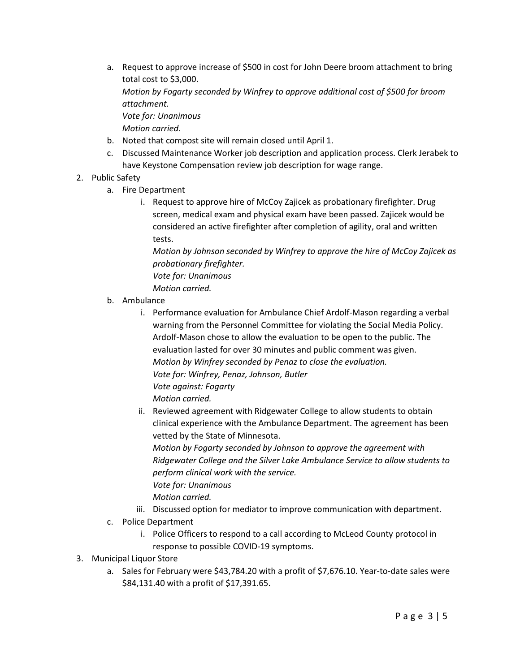a. Request to approve increase of \$500 in cost for John Deere broom attachment to bring total cost to \$3,000.

*Motion by Fogarty seconded by Winfrey to approve additional cost of \$500 for broom attachment.*

*Vote for: Unanimous*

*Motion carried.*

- b. Noted that compost site will remain closed until April 1.
- c. Discussed Maintenance Worker job description and application process. Clerk Jerabek to have Keystone Compensation review job description for wage range.
- 2. Public Safety
	- a. Fire Department
		- i. Request to approve hire of McCoy Zajicek as probationary firefighter. Drug screen, medical exam and physical exam have been passed. Zajicek would be considered an active firefighter after completion of agility, oral and written tests.

*Motion by Johnson seconded by Winfrey to approve the hire of McCoy Zajicek as probationary firefighter. Vote for: Unanimous*

*Motion carried.*

- b. Ambulance
	- i. Performance evaluation for Ambulance Chief Ardolf-Mason regarding a verbal warning from the Personnel Committee for violating the Social Media Policy. Ardolf-Mason chose to allow the evaluation to be open to the public. The evaluation lasted for over 30 minutes and public comment was given. *Motion by Winfrey seconded by Penaz to close the evaluation. Vote for: Winfrey, Penaz, Johnson, Butler Vote against: Fogarty Motion carried.*
	- ii. Reviewed agreement with Ridgewater College to allow students to obtain clinical experience with the Ambulance Department. The agreement has been vetted by the State of Minnesota.

*Motion by Fogarty seconded by Johnson to approve the agreement with Ridgewater College and the Silver Lake Ambulance Service to allow students to perform clinical work with the service.* 

*Vote for: Unanimous*

*Motion carried.*

- iii. Discussed option for mediator to improve communication with department.
- c. Police Department
	- i. Police Officers to respond to a call according to McLeod County protocol in response to possible COVID-19 symptoms.
- 3. Municipal Liquor Store
	- a. Sales for February were \$43,784.20 with a profit of \$7,676.10. Year-to-date sales were \$84,131.40 with a profit of \$17,391.65.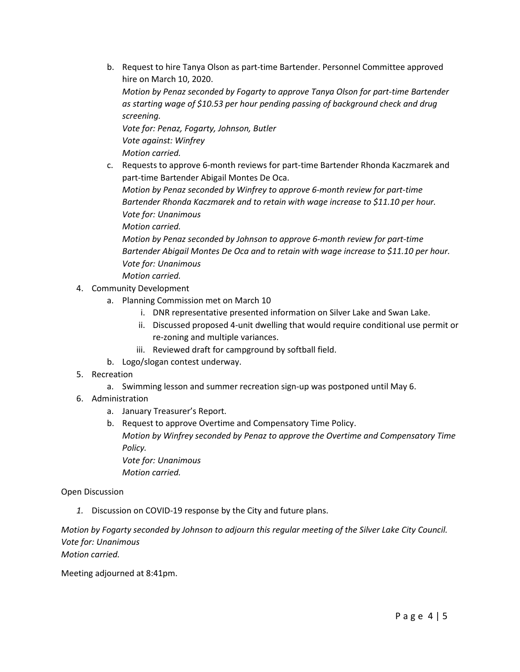b. Request to hire Tanya Olson as part-time Bartender. Personnel Committee approved hire on March 10, 2020.

*Motion by Penaz seconded by Fogarty to approve Tanya Olson for part-time Bartender as starting wage of \$10.53 per hour pending passing of background check and drug screening.*

*Vote for: Penaz, Fogarty, Johnson, Butler Vote against: Winfrey Motion carried.*

c. Requests to approve 6-month reviews for part-time Bartender Rhonda Kaczmarek and part-time Bartender Abigail Montes De Oca.

*Motion by Penaz seconded by Winfrey to approve 6-month review for part-time Bartender Rhonda Kaczmarek and to retain with wage increase to \$11.10 per hour. Vote for: Unanimous Motion carried.*

*Motion by Penaz seconded by Johnson to approve 6-month review for part-time Bartender Abigail Montes De Oca and to retain with wage increase to \$11.10 per hour. Vote for: Unanimous*

*Motion carried.*

- 4. Community Development
	- a. Planning Commission met on March 10
		- i. DNR representative presented information on Silver Lake and Swan Lake.
		- ii. Discussed proposed 4-unit dwelling that would require conditional use permit or re-zoning and multiple variances.
		- iii. Reviewed draft for campground by softball field.
	- b. Logo/slogan contest underway.
- 5. Recreation
	- a. Swimming lesson and summer recreation sign-up was postponed until May 6.
- 6. Administration
	- a. January Treasurer's Report.
	- b. Request to approve Overtime and Compensatory Time Policy. *Motion by Winfrey seconded by Penaz to approve the Overtime and Compensatory Time Policy. Vote for: Unanimous Motion carried.*

### Open Discussion

*1.* Discussion on COVID-19 response by the City and future plans.

*Motion by Fogarty seconded by Johnson to adjourn this regular meeting of the Silver Lake City Council. Vote for: Unanimous Motion carried.*

Meeting adjourned at 8:41pm.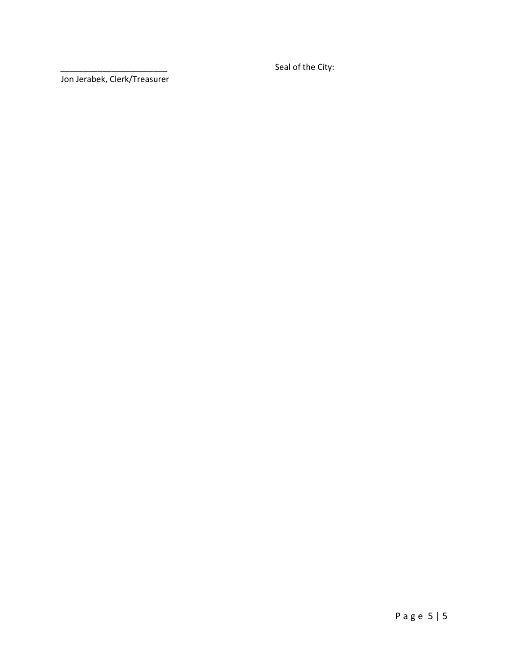Seal of the City:

Jon Jerabek, Clerk/Treasurer